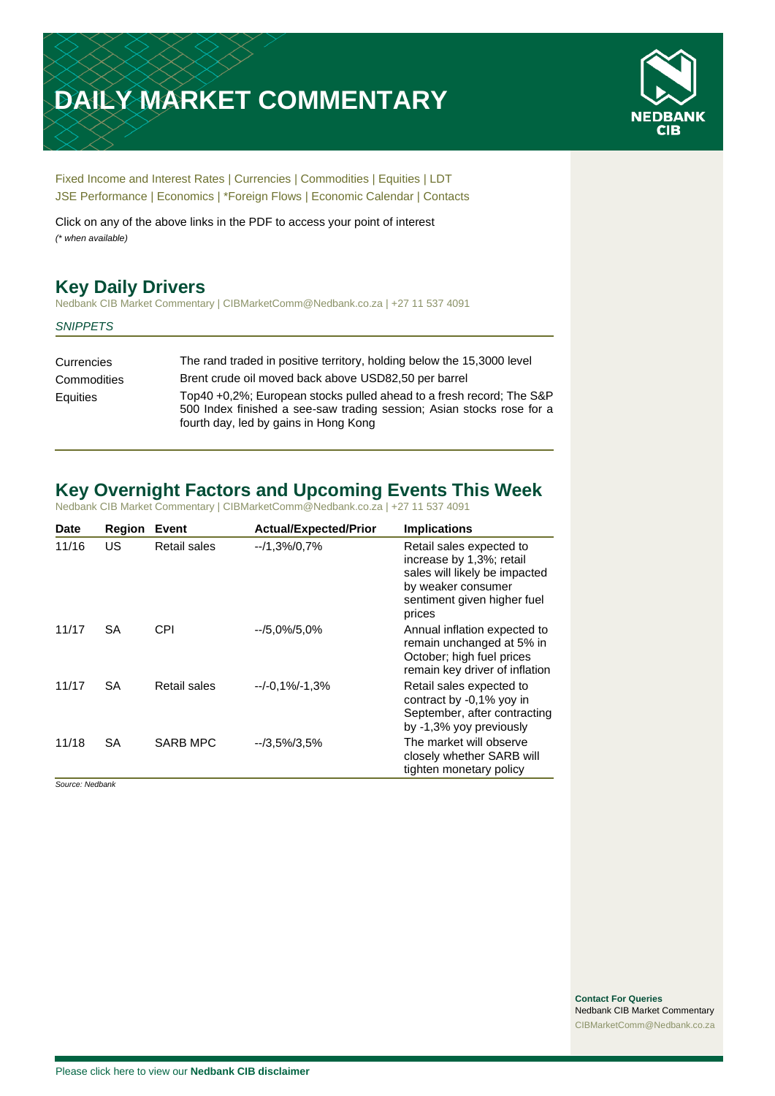# **DAILY MARKET COMMENTARY**



[Fixed Income and Interest Rates](#page-1-0) | [Currencies](#page-2-0) | [Commodities](#page-3-0) [| Equities](#page-4-0) | [LDT](#page-5-0) [JSE Performance](#page-6-0) [| Economics](#page-7-0) | [\\*Foreign Flows](#page-7-0) | [Economic Calendar](#page-8-0) | [Contacts](#page-9-0)

Click on any of the above links in the PDF to access your point of interest *(\* when available)*

## **Key Daily Drivers**

Nedbank CIB Market Commentary | CIBMarketComm@Nedbank.co.za | +27 11 537 4091

#### *SNIPPETS*

| Currencies  | The rand traded in positive territory, holding below the 15,3000 level                                                                                                                 |
|-------------|----------------------------------------------------------------------------------------------------------------------------------------------------------------------------------------|
| Commodities | Brent crude oil moved back above USD82,50 per barrel                                                                                                                                   |
| Equities    | Top40 +0,2%; European stocks pulled ahead to a fresh record; The S&P<br>500 Index finished a see-saw trading session; Asian stocks rose for a<br>fourth day, led by gains in Hong Kong |

## **Key Overnight Factors and Upcoming Events This Week**

Nedbank CIB Market Commentary | CIBMarketComm@Nedbank.co.za | +27 11 537 4091

| <b>Date</b> | <b>Region</b> | Event               | <b>Actual/Expected/Prior</b> | <b>Implications</b>                                                                                                                                  |
|-------------|---------------|---------------------|------------------------------|------------------------------------------------------------------------------------------------------------------------------------------------------|
| 11/16       | US            | <b>Retail sales</b> | $-1,3\%/0,7\%$               | Retail sales expected to<br>increase by 1,3%; retail<br>sales will likely be impacted<br>by weaker consumer<br>sentiment given higher fuel<br>prices |
| 11/17       | <b>SA</b>     | CPI                 | $-15.0\%/5.0\%$              | Annual inflation expected to<br>remain unchanged at 5% in<br>October; high fuel prices<br>remain key driver of inflation                             |
| 11/17       | <b>SA</b>     | Retail sales        | $-/-0.1\%/ -1.3\%$           | Retail sales expected to<br>contract by -0,1% yoy in<br>September, after contracting<br>by -1,3% yoy previously                                      |
| 11/18       | <b>SA</b>     | <b>SARB MPC</b>     | $-73.5\%/3.5\%$              | The market will observe<br>closely whether SARB will<br>tighten monetary policy                                                                      |

*Source: Nedbank*

**Contact For Queries** Nedbank CIB Market Commentary [CIBMarketComm@Nedbank.co.za](file:///C:/Users/Paul-Rose/AppData/Roaming/Bluecurve/templates/CIBMarketComm@Nedbank.co.za)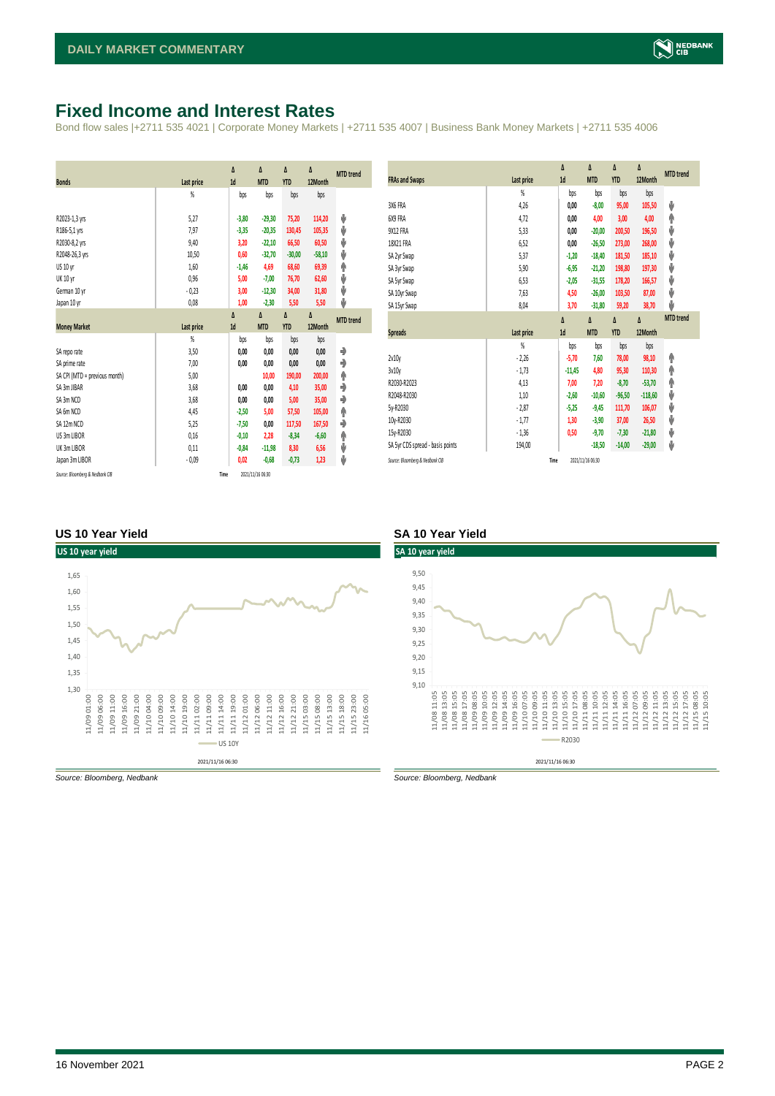## <span id="page-1-0"></span>**Fixed Income and Interest Rates**

Bond flow sales |+2711 535 4021 | Corporate Money Markets | +2711 535 4007 | Business Bank Money Markets | +2711 535 4006

| <b>Bonds</b>                                                                                                    | <b>Last price</b>                                        | Δ<br>1d                                                       | Δ<br><b>MTD</b>                                                             | Δ<br><b>YTD</b>                                                 | Δ<br>12Month                                                     | <b>MTD</b> trend                |
|-----------------------------------------------------------------------------------------------------------------|----------------------------------------------------------|---------------------------------------------------------------|-----------------------------------------------------------------------------|-----------------------------------------------------------------|------------------------------------------------------------------|---------------------------------|
|                                                                                                                 | %                                                        | bps                                                           | bps                                                                         | bps                                                             | bps                                                              |                                 |
| R2023-1,3 yrs<br>R186-5,1 yrs<br>R2030-8,2 yrs<br>R2048-26,3 yrs<br>US 10 yr<br><b>UK 10 yr</b><br>German 10 yr | 5,27<br>7,97<br>9,40<br>10,50<br>1,60<br>0,96<br>$-0,23$ | $-3,80$<br>$-3,35$<br>3,20<br>0,60<br>$-1,46$<br>5,00<br>3,00 | $-29,30$<br>$-20,35$<br>$-22,10$<br>$-32,70$<br>4,69<br>$-7,00$<br>$-12,30$ | 75,20<br>130,45<br>66,50<br>$-30,00$<br>68,60<br>76,70<br>34,00 | 114,20<br>105,35<br>60,50<br>$-58,10$<br>69,39<br>62,60<br>31,80 | ψ<br>ψ<br>ψ<br>ψ<br>φ<br>ψ<br>ψ |
| Japan 10 yr                                                                                                     | 0,08                                                     | 1,00<br>Δ                                                     | $-2,30$<br>Δ                                                                | 5,50<br>Δ                                                       | 5,50<br>Δ                                                        | ψ                               |
| <b>Money Market</b>                                                                                             | <b>Last price</b>                                        | 1d                                                            | <b>MTD</b>                                                                  | <b>YTD</b>                                                      | 12Month                                                          | <b>MTD</b> trend                |
|                                                                                                                 |                                                          |                                                               |                                                                             |                                                                 |                                                                  |                                 |
|                                                                                                                 | $\frac{9}{20}$                                           | bps                                                           | bps                                                                         | bps                                                             | bps                                                              |                                 |
| SA repo rate                                                                                                    | 3,50                                                     | 0,00                                                          | 0,00                                                                        | 0,00                                                            | 0,00                                                             | ۰                               |
| SA prime rate                                                                                                   | 7,00                                                     | 0,00                                                          | 0,00                                                                        | 0,00                                                            | 0,00                                                             | ۰                               |
| SA CPI (MTD = previous month)                                                                                   | 5,00                                                     |                                                               | 10,00                                                                       | 190,00                                                          | 200,00                                                           | ۸                               |
| SA 3m JIBAR                                                                                                     | 3,68                                                     | 0.00                                                          | 0.00                                                                        | 4,10                                                            | 35,00                                                            | ۰                               |
| SA 3m NCD                                                                                                       | 3,68                                                     | 0,00                                                          | 0,00                                                                        | 5,00                                                            | 35,00                                                            | ٠                               |
| SA 6m NCD                                                                                                       | 4,45                                                     | $-2,50$                                                       | 5,00                                                                        | 57,50                                                           | 105,00                                                           | ۸                               |
| SA 12m NCD                                                                                                      | 5,25                                                     | $-7,50$                                                       | 0,00                                                                        | 117,50                                                          | 167,50                                                           | ٠                               |
| US 3m LIBOR                                                                                                     | 0,16                                                     | $-0,10$                                                       | 2,28                                                                        | $-8,34$                                                         | $-6,60$                                                          | φ                               |
| UK 3m LIBOR                                                                                                     | 0,11                                                     | $-0,84$                                                       | $-11,98$                                                                    | 8,30                                                            | 6,56                                                             | ψ                               |
| Japan 3m LIBOR                                                                                                  | $-0.09$                                                  | 0,02                                                          | $-0,68$                                                                     | $-0,73$                                                         | 1,23                                                             | ψ                               |

| <b>FRAs and Swaps</b>            | Last price     | Δ<br>1d  | Δ<br><b>MTD</b> | Δ<br><b>YTD</b> | Δ<br>12Month | <b>MTD</b> trend |
|----------------------------------|----------------|----------|-----------------|-----------------|--------------|------------------|
|                                  | %              | bps      | bps             | bps             | bps          |                  |
| 3X6 FRA                          | 4,26           | 0,00     | $-8,00$         | 95,00           | 105,50       | ψ                |
| 6X9 FRA                          | 4,72           | 0,00     | 4,00            | 3,00            | 4,00         | ٨                |
| 9X12 FRA                         | 5,33           | 0,00     | $-20,00$        | 200,50          | 196,50       | ψ                |
| 18X21 FRA                        | 6,52           | 0,00     | $-26,50$        | 273,00          | 268,00       | ψ                |
| SA 2yr Swap                      | 5,37           | $-1,20$  | $-18,40$        | 181,50          | 185,10       | ψ                |
| SA 3yr Swap                      | 5,90           | $-6,95$  | $-21,20$        | 198,80          | 197,30       | ψ                |
| SA 5yr Swap                      | 6,53           | $-2,05$  | $-31,55$        | 178,20          | 166,57       | ψ                |
| SA 10yr Swap                     | 7,63           | 4,50     | $-26,00$        | 103,50          | 87,00        | ψ                |
| SA 15yr Swap                     | 8,04           | 3,70     | $-31,80$        | 59,20           | 38,70        | J                |
|                                  |                |          |                 |                 |              |                  |
|                                  |                | Δ        | Δ               | Δ               | Δ            | <b>MTD</b> trend |
| <b>Spreads</b>                   | Last price     | 1d       | <b>MTD</b>      | <b>YTD</b>      | 12Month      |                  |
|                                  | $\frac{9}{20}$ | bps      | bps             | bps             | bps          |                  |
| 2v10v                            | $-2,26$        | $-5,70$  | 7,60            | 78,00           | 98,10        | ۸                |
| 3v10y                            | $-1,73$        | $-11,45$ | 4,80            | 95,30           | 110,30       | ♠                |
| R2030-R2023                      | 4,13           | 7,00     | 7,20            | $-8,70$         | $-53,70$     | φ                |
| R2048-R2030                      | 1,10           | $-2,60$  | $-10,60$        | $-96,50$        | $-118,60$    | ψ                |
| 5y-R2030                         | $-2,87$        | $-5,25$  | $-9,45$         | 111,70          | 106,07       | ψ                |
| 10y-R2030                        | $-1,77$        | 1,30     | $-3,90$         | 37,00           | 26,50        | ψ                |
| 15y-R2030                        | $-1,36$        | 0,50     | $-9,70$         | $-7,30$         | $-21,80$     | ψ                |
| SA 5yr CDS spread - basis points | 194,00         |          | $-18,50$        | $-14,00$        | $-29,00$     | ψ                |

#### **US 10 Year Yield SA 10 Year Yield**



*Source: Bloomberg, Nedbank Source: Bloomberg, Nedbank*

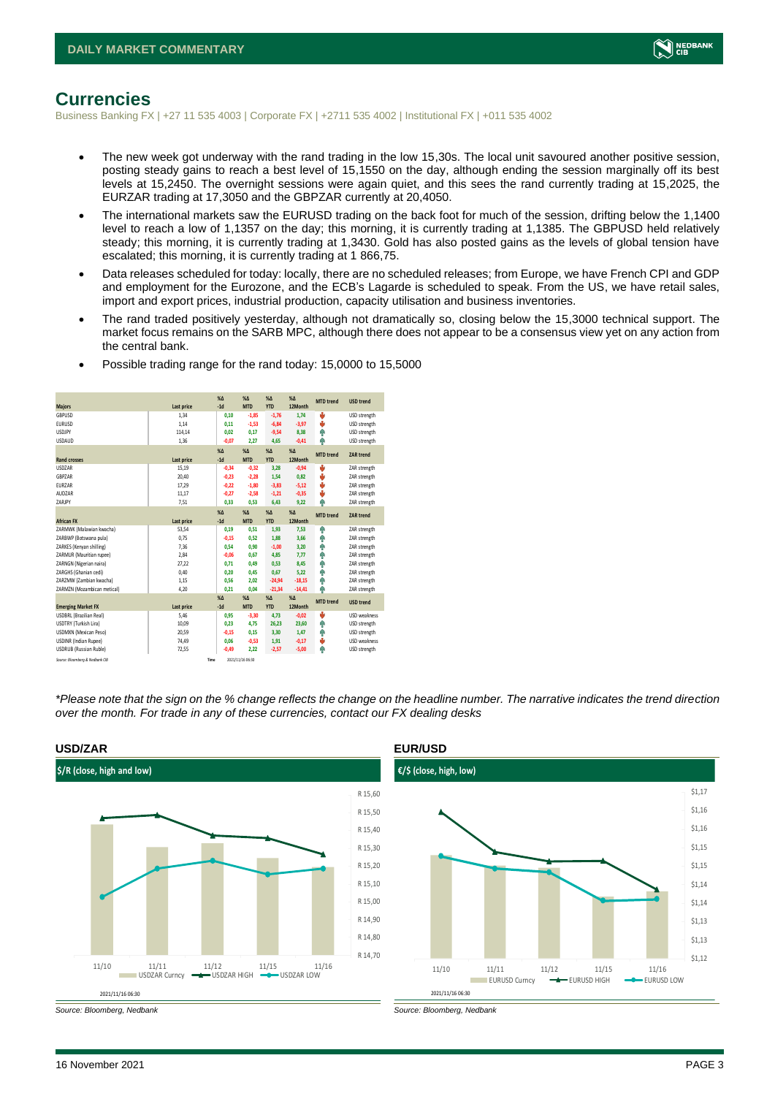

### <span id="page-2-0"></span>**Currencies**

Business Banking FX | +27 11 535 4003 | Corporate FX | +2711 535 4002 | Institutional FX | +011 535 4002

- The new week got underway with the rand trading in the low 15,30s. The local unit savoured another positive session, posting steady gains to reach a best level of 15,1550 on the day, although ending the session marginally off its best levels at 15,2450. The overnight sessions were again quiet, and this sees the rand currently trading at 15,2025, the EURZAR trading at 17,3050 and the GBPZAR currently at 20,4050.
- The international markets saw the EURUSD trading on the back foot for much of the session, drifting below the 1,1400 level to reach a low of 1,1357 on the day; this morning, it is currently trading at 1,1385. The GBPUSD held relatively steady; this morning, it is currently trading at 1,3430. Gold has also posted gains as the levels of global tension have escalated; this morning, it is currently trading at 1 866,75.
- Data releases scheduled for today: locally, there are no scheduled releases; from Europe, we have French CPI and GDP and employment for the Eurozone, and the ECB's Lagarde is scheduled to speak. From the US, we have retail sales, import and export prices, industrial production, capacity utilisation and business inventories.
- The rand traded positively yesterday, although not dramatically so, closing below the 15,3000 technical support. The market focus remains on the SARB MPC, although there does not appear to be a consensus view yet on any action from the central bank.

|                                 |            | $X\Delta$ | X <sub>A</sub>   | $% \Delta$ | $% \Delta$ | <b>MTD</b> trend | <b>USD trend</b>    |
|---------------------------------|------------|-----------|------------------|------------|------------|------------------|---------------------|
| <b>Majors</b>                   | Last price | $-1d$     | <b>MTD</b>       | <b>YTD</b> | 12Month    |                  |                     |
| GBPUSD                          | 1.34       | 0,10      | $-1,85$          | $-1,76$    | 1.74       | ÷                | USD strength        |
| <b>EURUSD</b>                   | 1,14       | 0,11      | $-1,53$          | $-6,84$    | $-3,97$    | ÷                | USD strength        |
| <b>USDJPY</b>                   | 114,14     | 0.02      | 0.17             | $-9,54$    | 8,38       | ٠                | USD strength        |
| <b>USDAUD</b>                   | 1,36       | $-0,07$   | 2,27             | 4,65       | $-0,41$    | ۸                | USD strength        |
|                                 |            | $X\Delta$ | $X\Delta$        | $% \Delta$ | $% \Delta$ | <b>MTD</b> trend | ZAR trend           |
| <b>Rand crosses</b>             | Last price | $-1d$     | <b>MTD</b>       | <b>YTD</b> | 12Month    |                  |                     |
| <b>USDZAR</b>                   | 15,19      | $-0,34$   | $-0,32$          | 3,28       | $-0,94$    | ÷                | ZAR strength        |
| GBPZAR                          | 20,40      | $-0,23$   | $-2,28$          | 1,54       | 0,82       | v                | ZAR strength        |
| EURZAR                          | 17,29      | $-0,22$   | $-1,80$          | $-3,83$    | $-5,12$    | v                | ZAR strength        |
| AUD7AR                          | 11,17      | $-0.27$   | $-2,58$          | $-1,21$    | $-0,35$    | v                | ZAR strength        |
| ZARJPY                          | 7,51       | 0,33      | 0,53             | 6,43       | 9,22       | ٨                | ZAR strength        |
|                                 |            | $X\Delta$ | $X\Delta$        | $% \Delta$ | $% \Delta$ |                  |                     |
| <b>African FX</b>               | Last price | $-1d$     | <b>MTD</b>       | <b>YTD</b> | 12Month    | <b>MTD</b> trend | ZAR trend           |
| ZARMWK (Malawian kwacha)        | 53,54      | 0,19      | 0,51             | 1,93       | 7,53       | ۸                | ZAR strength        |
| ZARBWP (Botswana pula)          | 0,75       | $-0,15$   | 0.52             | 1,88       | 3,66       | ٠                | ZAR strength        |
| ZARKES (Kenyan shilling)        | 7,36       | 0,54      | 0,90             | $-1,00$    | 3,20       | ٠                | ZAR strength        |
| ZARMUR (Mauritian rupee)        | 2,84       | $-0,06$   | 0.67             | 4,85       | 7.77       | ٠                | ZAR strength        |
| ZARNGN (Nigerian naira)         | 27,22      | 0.71      | 0.49             | 0,53       | 8,45       | ۸                | ZAR strength        |
| ZARGHS (Ghanian cedi)           | 0,40       | 0.20      | 0,45             | 0,67       | 5,22       | ٠                | ZAR strength        |
| ZARZMW (Zambian kwacha)         | 1,15       | 0,56      | 2.02             | $-24,94$   | $-18,15$   | Ф                | ZAR strength        |
| ZARMZN (Mozambican metical)     | 4,20       | 0,21      | 0,04             | $-21,34$   | $-14,41$   | ٨                | ZAR strength        |
|                                 |            | $X\Delta$ | $X\Delta$        | $% \Delta$ | $% \Delta$ | <b>MTD</b> trend |                     |
| <b>Emerging Market FX</b>       | Last price | $-1d$     | <b>MTD</b>       | <b>YTD</b> | 12Month    |                  | <b>USD trend</b>    |
| <b>USDBRL (Brazilian Real)</b>  | 5.46       | 0.95      | $-3.30$          | 4,73       | $-0,02$    | J                | <b>USD</b> weakness |
| USDTRY (Turkish Lira)           | 10,09      | 0.23      | 4.75             | 26,23      | 23,60      | ٠                | USD strength        |
| <b>USDMXN (Mexican Peso)</b>    | 20,59      | $-0.15$   | 0.15             | 3,30       | 1.47       | ٠                | USD strength        |
| <b>USDINR</b> (Indian Rupee)    | 74,49      | 0,06      | $-0,53$          | 1,91       | $-0,17$    | ÷                | <b>USD</b> weakness |
| <b>USDRUB (Russian Ruble)</b>   | 72,55      | $-0.49$   | 2.22             | $-2,57$    | $-5,00$    | Ф                | USD strength        |
| Source: Bloomberg & Nedbank CIB |            | Time      | 2021/11/16 06:30 |            |            |                  |                     |

• Possible trading range for the rand today: 15,0000 to 15,5000

*\*Please note that the sign on the % change reflects the change on the headline number. The narrative indicates the trend direction over the month. For trade in any of these currencies, contact our FX dealing desks*



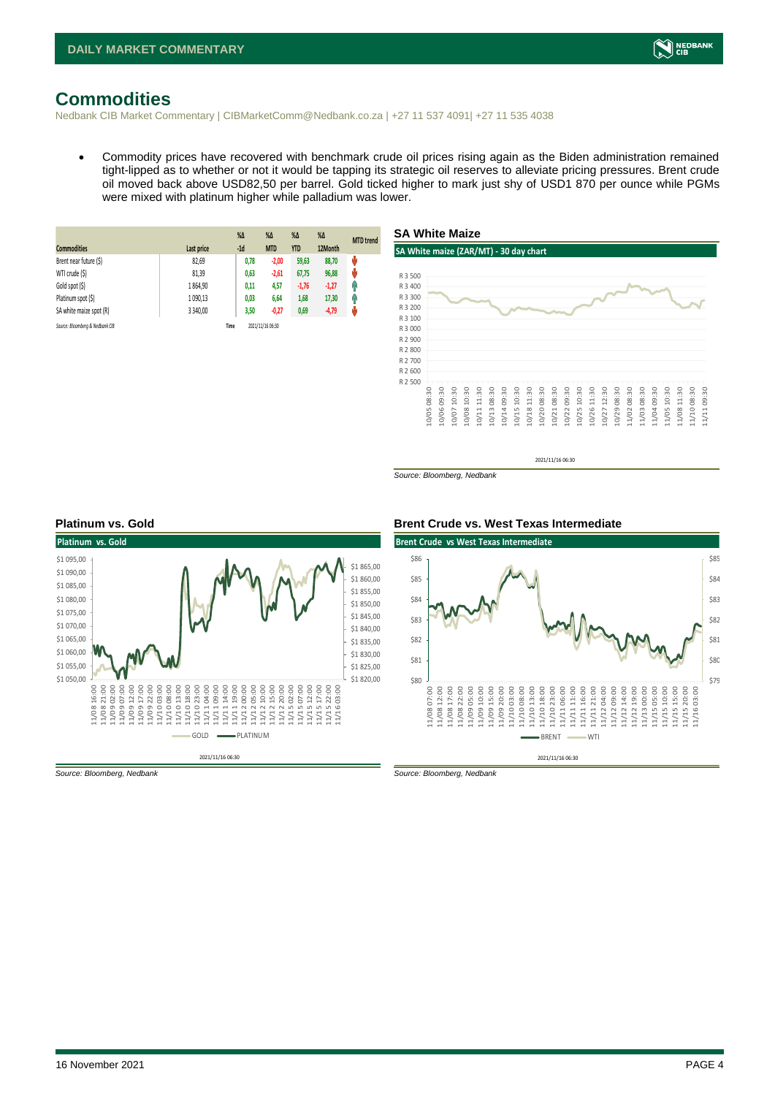## <span id="page-3-0"></span>**Commodities**

Nedbank CIB Market Commentary | CIBMarketComm@Nedbank.co.za | +27 11 537 4091| +27 11 535 4038

• Commodity prices have recovered with benchmark crude oil prices rising again as the Biden administration remained tight-lipped as to whether or not it would be tapping its strategic oil reserves to alleviate pricing pressures. Brent crude oil moved back above USD82,50 per barrel. Gold ticked higher to mark just shy of USD1 870 per ounce while PGMs were mixed with platinum higher while palladium was lower.

| <b>Commodities</b>              | Last price | $%$ $\Delta$<br>$-1d$ | %Δ<br><b>MTD</b> | $%$ $\Delta$<br><b>YTD</b> | $%$ $\Delta$<br>12Month | <b>MTD</b> trend |
|---------------------------------|------------|-----------------------|------------------|----------------------------|-------------------------|------------------|
| Brent near future (\$)          | 82,69      | 0,78                  | $-2,00$          | 59,63                      | 88,70                   | U                |
| WTI crude (\$)                  | 81,39      | 0,63                  | $-2,61$          | 67,75                      | 96,88                   | U                |
| Gold spot (\$)                  | 1864,90    | 0,11                  | 4,57             | $-1,76$                    | $-1,27$                 | Ĥ                |
| Platinum spot (\$)              | 1 090,13   | 0,03                  | 6,64             | 1,68                       | 17,30                   | Ĥ                |
| SA white maize spot (R)         | 3 340,00   | 3,50                  | $-0,27$          | 0,69                       | $-4,79$                 | μ                |
| Source: Bloomberg & Nedbank CIB |            | Time                  | 2021/11/16 06:30 |                            |                         |                  |



*Source: Bloomberg, Nedbank*





*Source: Bloomberg, Nedbank Source: Bloomberg, Nedbank*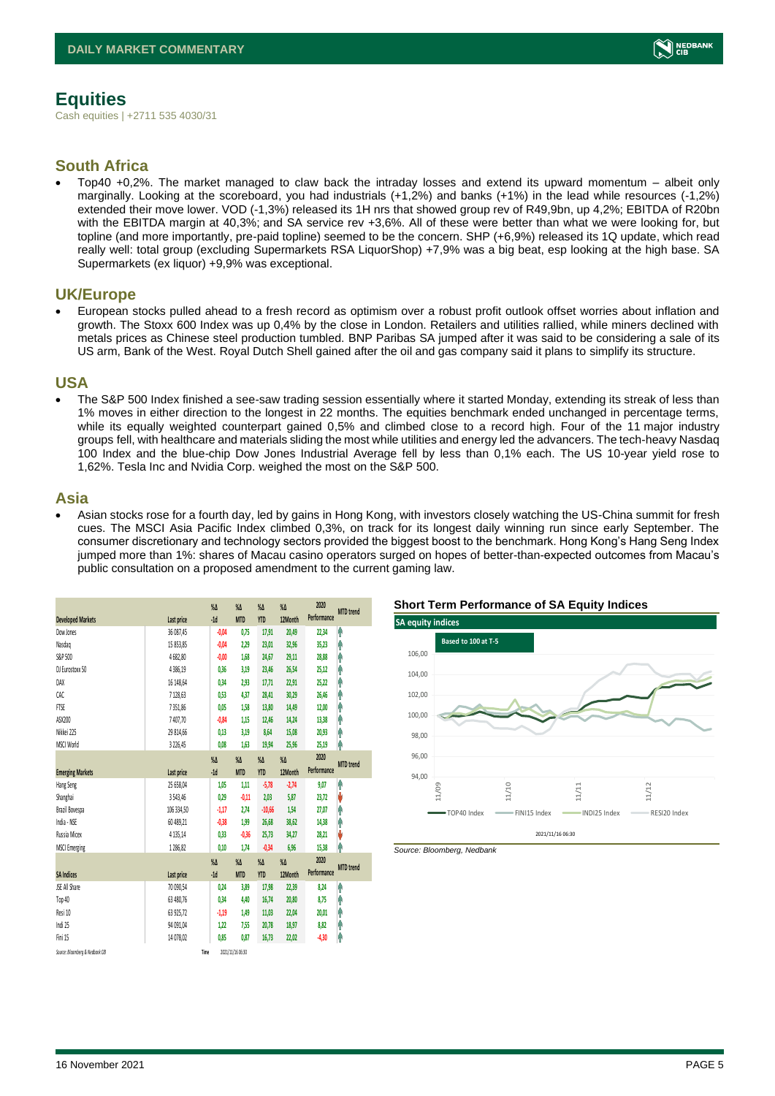

## <span id="page-4-0"></span>**Equities**

Cash equities | +2711 535 4030/31

### **South Africa**

• Top40 +0,2%. The market managed to claw back the intraday losses and extend its upward momentum – albeit only marginally. Looking at the scoreboard, you had industrials (+1,2%) and banks (+1%) in the lead while resources (-1,2%) extended their move lower. VOD (-1,3%) released its 1H nrs that showed group rev of R49,9bn, up 4,2%; EBITDA of R20bn with the EBITDA margin at 40,3%; and SA service rev +3,6%. All of these were better than what we were looking for, but topline (and more importantly, pre-paid topline) seemed to be the concern. SHP (+6,9%) released its 1Q update, which read really well: total group (excluding Supermarkets RSA LiquorShop) +7,9% was a big beat, esp looking at the high base. SA Supermarkets (ex liquor) +9,9% was exceptional.

### **UK/Europe**

• European stocks pulled ahead to a fresh record as optimism over a robust profit outlook offset worries about inflation and growth. The Stoxx 600 Index was up 0,4% by the close in London. Retailers and utilities rallied, while miners declined with metals prices as Chinese steel production tumbled. BNP Paribas SA jumped after it was said to be considering a sale of its US arm, Bank of the West. Royal Dutch Shell gained after the oil and gas company said it plans to simplify its structure.

#### **USA**

• The S&P 500 Index finished a see-saw trading session essentially where it started Monday, extending its streak of less than 1% moves in either direction to the longest in 22 months. The equities benchmark ended unchanged in percentage terms, while its equally weighted counterpart gained 0,5% and climbed close to a record high. Four of the 11 major industry groups fell, with healthcare and materials sliding the most while utilities and energy led the advancers. The tech-heavy Nasdaq 100 Index and the blue-chip Dow Jones Industrial Average fell by less than 0,1% each. The US 10-year yield rose to 1,62%. Tesla Inc and Nvidia Corp. weighed the most on the S&P 500.

#### **Asia**

• Asian stocks rose for a fourth day, led by gains in Hong Kong, with investors closely watching the US-China summit for fresh cues. The MSCI Asia Pacific Index climbed 0,3%, on track for its longest daily winning run since early September. The consumer discretionary and technology sectors provided the biggest boost to the benchmark. Hong Kong's Hang Seng Index jumped more than 1%: shares of Macau casino operators surged on hopes of better-than-expected outcomes from Macau's public consultation on a proposed amendment to the current gaming law.

|                                 |               | $\%$ $\Delta$    | $\%$ $\Delta$    | $\%$ $\Delta$ | $\%$    | 2020        | <b>MTD</b> trend |
|---------------------------------|---------------|------------------|------------------|---------------|---------|-------------|------------------|
| <b>Developed Markets</b>        | Last price    | $-1d$            | <b>MTD</b>       | <b>YTD</b>    | 12Month | Performance |                  |
| Dow Jones                       | 36 087,45     | $-0,04$          | 0,75             | 17,91         | 20,49   | 22,34       | A                |
| Nasdao                          | 15 853,85     | $-0,04$          | 2,29             | 23,01         | 32,96   | 35,23       | Α                |
| S&P 500                         | 4682,80       | $-0,00$          | 1,68             | 24,67         | 29,11   | 28,88       | ٨                |
| DJ Eurostoxx 50                 | 4386,19       | 0.36             | 3,19             | 23,46         | 26,54   | 25,12       | Α                |
| DAX                             | 16 148,64     | 0,34             | 2,93             | 17,71         | 22,91   | 25,22       | ٨                |
| CAC                             | 7128,63       | 0,53             | 4,37             | 28,41         | 30,29   | 26,46       | ٨                |
| <b>FTSE</b>                     | 7351.86       | 0.05             | 1,58             | 13,80         | 14,49   | 12,00       | Α                |
| ASX200                          | 7407,70       | $-0,84$          | 1,15             | 12,46         | 14,24   | 13,38       | ٨                |
| Nikkei 225                      | 29 814,66     | 0,13             | 3,19             | 8,64          | 15,08   | 20,93       | ٨                |
| MSCI World                      | 3 2 2 6, 45   | 0,08             | 1,63             | 19,94         | 25,96   | 25,19       | ٨                |
|                                 |               | $\%$ $\Delta$    | $\%$ $\Delta$    | $\%$ $\Delta$ | $\%$    | 2020        |                  |
| <b>Emerging Markets</b>         | Last price    | $-1d$            | <b>MTD</b>       | <b>YTD</b>    | 12Month | Performance | <b>MTD</b> trend |
| Hang Seng                       | 25 658,04     | 1,05             | 1,11             | $-5,78$       | $-2,74$ | 9,07        | Ā                |
| Shanghai                        | 3 5 4 3 , 4 6 | 0,29             | $-0.11$          | 2.03          | 5,87    | 23,72       | V                |
| Brazil Bovespa                  | 106 334,50    | $-1,17$          | 2,74             | $-10,66$      | 1,54    | 27,07       | ٨                |
| India - NSE                     | 60 489,21     | $-0,38$          | 1,99             | 26,68         | 38,62   | 14,38       | ٨                |
| Russia Micex                    | 4 1 3 5 , 1 4 | 0,33             | $-0,36$          | 25,73         | 34,27   | 28,21       | V                |
| <b>MSCI Emerging</b>            | 1286.82       | 0.10             | 1.74             | $-0,34$       | 6,96    | 15,38       | ٨                |
|                                 |               | $\sqrt{\Lambda}$ | $\%$ $\Delta$    | $\%$ $\Delta$ | $\%$    | 2020        |                  |
| <b>SA Indices</b>               | Last price    | $-1d$            | <b>MTD</b>       | <b>YTD</b>    | 12Month | Performance | <b>MTD</b> trend |
| JSE All Share                   | 70 090.54     | 0,24             | 3,89             | 17,98         | 22,39   | 8,24        | A                |
| Top 40                          | 63 480,76     | 0,34             | 4,40             | 16,74         | 20,80   | 8,75        | ٨                |
| Resi 10                         | 63 925,72     | $-1,19$          | 1,49             | 11,03         | 22,04   | 20,01       | ٨                |
| Indi 25                         | 94 091,04     | 1,22             | 7,55             | 20,78         | 18,97   | 8,82        | Α                |
| Fini 15                         | 14 078,02     | 0,85             | 0,87             | 16,73         | 22,02   | $-4,30$     | A                |
| Source: Bloomberg & Nedbank CIB |               | Time             | 2021/11/16 06:30 |               |         |             |                  |



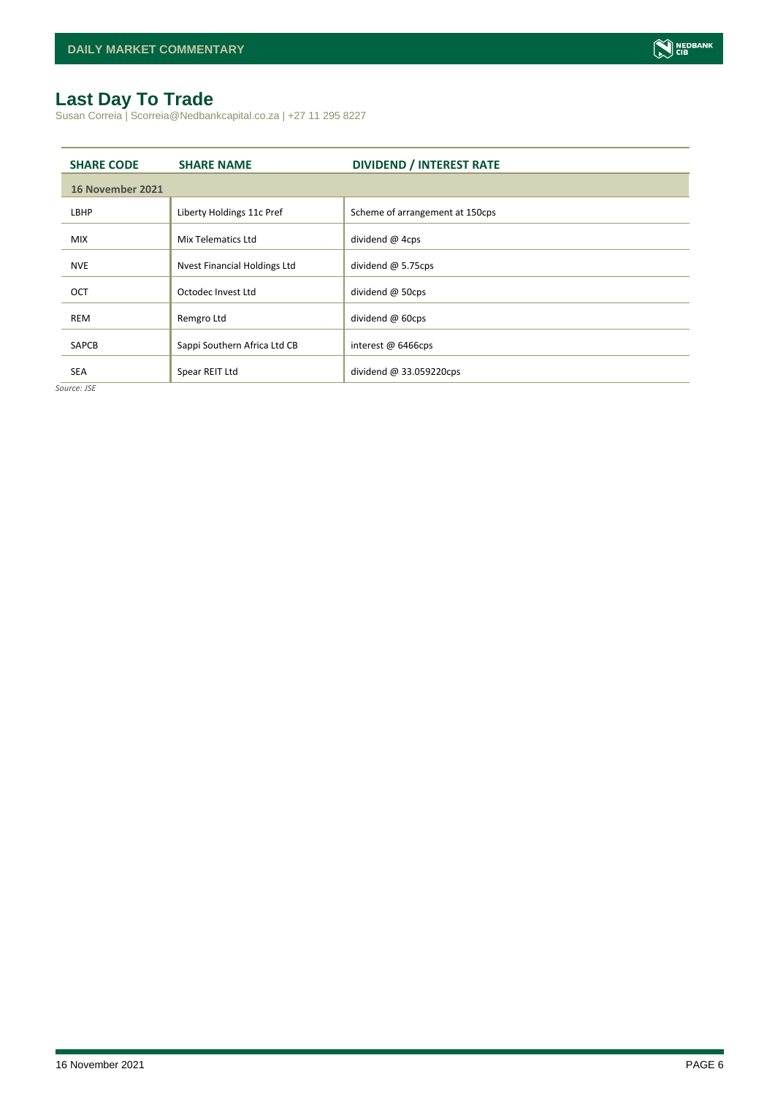## <span id="page-5-0"></span>**Last Day To Trade**

Susan Correia | Scorreia@Nedbankcapital.co.za | +27 11 295 8227

| <b>SHARE CODE</b> | <b>SHARE NAME</b>            | <b>DIVIDEND / INTEREST RATE</b> |
|-------------------|------------------------------|---------------------------------|
| 16 November 2021  |                              |                                 |
| LBHP              | Liberty Holdings 11c Pref    | Scheme of arrangement at 150cps |
| <b>MIX</b>        | Mix Telematics Ltd           | dividend @ 4cps                 |
| <b>NVE</b>        | Nvest Financial Holdings Ltd | dividend $@$ 5.75cps            |
| OCT               | Octodec Invest Ltd           | dividend @ 50cps                |
| <b>REM</b>        | Remgro Ltd                   | dividend @ 60cps                |
| <b>SAPCB</b>      | Sappi Southern Africa Ltd CB | interest $\omega$ 6466cps       |
| <b>SEA</b>        | Spear REIT Ltd               | dividend $@33.059220$ cps       |

*Source: JSE*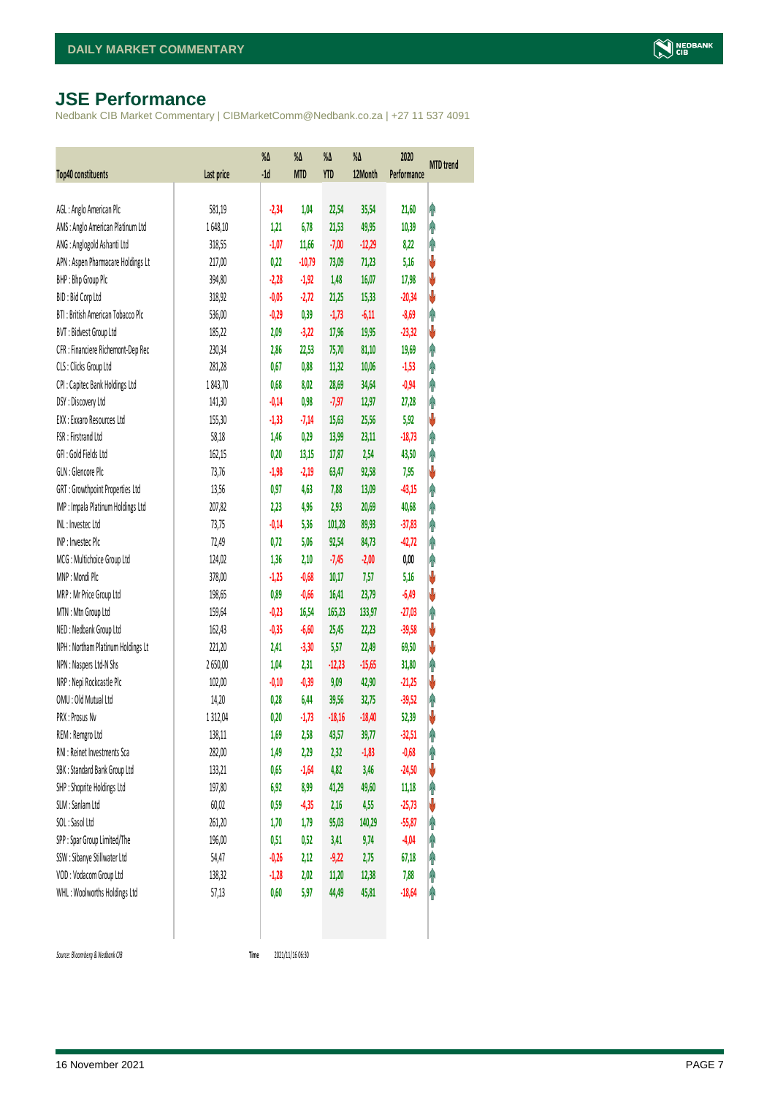## <span id="page-6-0"></span>**JSE Performance**

Nedbank CIB Market Commentary | CIBMarketComm@Nedbank.co.za | +27 11 537 4091

| Top40 constituents                 | Last price | $\%$ $\Delta$<br>$-1d$ | %Δ<br><b>MTD</b> | %Δ<br><b>YTD</b> | %Δ<br>12Month | 2020<br>Performance | <b>MTD</b> trend |
|------------------------------------|------------|------------------------|------------------|------------------|---------------|---------------------|------------------|
|                                    |            |                        |                  |                  |               |                     |                  |
| AGL: Anglo American Plc            | 581,19     | $-2,34$                | 1,04             | 22,54            | 35,54         | 21,60               | φ                |
| AMS: Anglo American Platinum Ltd   | 1648,10    | 1,21                   | 6,78             | 21,53            | 49,95         | 10,39               | φ                |
| ANG: Anglogold Ashanti Ltd         | 318,55     | $-1,07$                | 11,66            | $-7,00$          | $-12,29$      | 8,22                | φ                |
| APN : Aspen Pharmacare Holdings Lt | 217,00     | 0,22                   | $-10,79$         | 73,09            | 71,23         | 5,16                | V                |
| BHP: Bhp Group Plc                 | 394,80     | $-2,28$                | $-1,92$          | 1,48             | 16,07         | 17,98               | V                |
| BID: Bid Corp Ltd                  | 318,92     | $-0,05$                | $-2,72$          | 21,25            | 15,33         | $-20,34$            | ψ                |
| BTI: British American Tobacco Plc  | 536,00     | $-0,29$                | 0,39             | $-1,73$          | $-6,11$       | $-8,69$             | φ                |
| BVT: Bidvest Group Ltd             | 185,22     | 2,09                   | $-3,22$          | 17,96            | 19,95         | $-23,32$            | V                |
| CFR : Financiere Richemont-Dep Rec | 230,34     | 2,86                   | 22,53            | 75,70            | 81,10         | 19,69               | φ                |
| CLS : Clicks Group Ltd             | 281,28     | 0,67                   | 0,88             | 11,32            | 10,06         | $-1,53$             | φ                |
| CPI : Capitec Bank Holdings Ltd    | 1843,70    | 0,68                   | 8,02             | 28,69            | 34,64         | $-0,94$             | φ                |
| DSY: Discovery Ltd                 | 141,30     | $-0,14$                | 0,98             | $-7,97$          | 12,97         | 27,28               | φ                |
| EXX: Exxaro Resources Ltd          | 155,30     | $-1,33$                | $-7,14$          | 15,63            | 25,56         | 5,92                | ψ                |
| FSR: Firstrand Ltd                 | 58,18      | 1,46                   | 0,29             | 13,99            | 23,11         | $-18,73$            | φ                |
| GFI: Gold Fields Ltd               | 162,15     | 0,20                   | 13,15            | 17,87            | 2,54          | 43,50               | φ                |
| GLN : Glencore Plc                 | 73,76      | $-1,98$                | $-2,19$          | 63,47            | 92,58         | 7,95                | ψ                |
| GRT : Growthpoint Properties Ltd   | 13,56      | 0,97                   | 4,63             | 7,88             | 13,09         | $-43,15$            | Ą                |
| IMP : Impala Platinum Holdings Ltd | 207,82     | 2,23                   | 4,96             | 2,93             | 20,69         | 40,68               | φ                |
| INL: Investec Ltd                  | 73,75      | $-0,14$                | 5,36             | 101,28           | 89,93         | $-37,83$            | φ                |
| INP: Invested Plc                  | 72,49      | 0,72                   | 5,06             | 92,54            | 84,73         | $-42,72$            | φ                |
| MCG: Multichoice Group Ltd         | 124,02     | 1,36                   | 2,10             | $-7,45$          | $-2,00$       | 0,00                | φ                |
| MNP: Mondi Plc                     | 378,00     | $-1,25$                | $-0,68$          | 10,17            | 7,57          | 5,16                | ψ                |
| MRP : Mr Price Group Ltd           | 198,65     | 0,89                   | $-0,66$          | 16,41            | 23,79         | $-6,49$             | ψ                |
| MTN: Mtn Group Ltd                 | 159,64     | $-0,23$                | 16,54            | 165,23           | 133,97        | $-27,03$            | φ                |
| NED : Nedbank Group Ltd            | 162,43     | $-0,35$                | $-6,60$          | 25,45            | 22,23         | $-39,58$            | ψ                |
| NPH: Northam Platinum Holdings Lt  | 221,20     | 2,41                   | $-3,30$          | 5,57             | 22,49         | 69,50               | ψ                |
| NPN : Naspers Ltd-N Shs            | 2650,00    | 1,04                   | 2,31             | $-12,23$         | $-15,65$      | 31,80               | φ                |
| NRP : Nepi Rockcastle Plc          | 102,00     | $-0,10$                | $-0,39$          | 9,09             | 42,90         | $-21,25$            | V                |
| OMU: Old Mutual Ltd                | 14,20      | 0,28                   | 6,44             | 39,56            | 32,75         | $-39,52$            | φ                |
| PRX: Prosus Nv                     | 1312,04    | 0,20                   | $-1,73$          | $-18,16$         | $-18,40$      | 52,39               | V                |
| REM : Remgro Ltd                   | 138,11     | 1,69                   | 2,58             | 43,57            | 39,77         | $-32,51$            | Ĥ                |
| RNI : Reinet Investments Sca       | 282,00     | 1,49                   | 2,29             | 2,32             | $-1,83$       | $-0,68$             | φ                |
| SBK: Standard Bank Group Ltd       | 133,21     | 0,65                   | $-1,64$          | 4,82             | 3,46          | $-24,50$            | ψ                |
| SHP: Shoprite Holdings Ltd         | 197,80     | 6,92                   | 8,99             | 41,29            | 49,60         | 11,18               | φ                |
| SLM : Sanlam Ltd                   | 60,02      | 0,59                   | $-4,35$          | 2,16             | 4,55          | $-25,73$            | ψ                |
| SOL: Sasol Ltd                     | 261,20     | 1,70                   | 1,79             | 95,03            | 140,29        | $-55,87$            | φ                |
| SPP: Spar Group Limited/The        | 196,00     | 0,51                   | 0,52             | 3,41             | 9,74          | $-4,04$             | φ                |
| SSW : Sibanye Stillwater Ltd       | 54,47      | $-0,26$                | 2,12             | $-9,22$          | 2,75          | 67,18               | φ                |
| VOD: Vodacom Group Ltd             | 138,32     | $-1,28$                | 2,02             | 11,20            | 12,38         | 7,88                | φ                |
| WHL: Woolworths Holdings Ltd       | 57,13      | 0,60                   | 5,97             | 44,49            | 45,81         | $-18,64$            | φ                |
|                                    |            |                        |                  |                  |               |                     |                  |

 $Source: Bloomberg & Nedbank *CB*$ 

Time 2021/11/16 06:30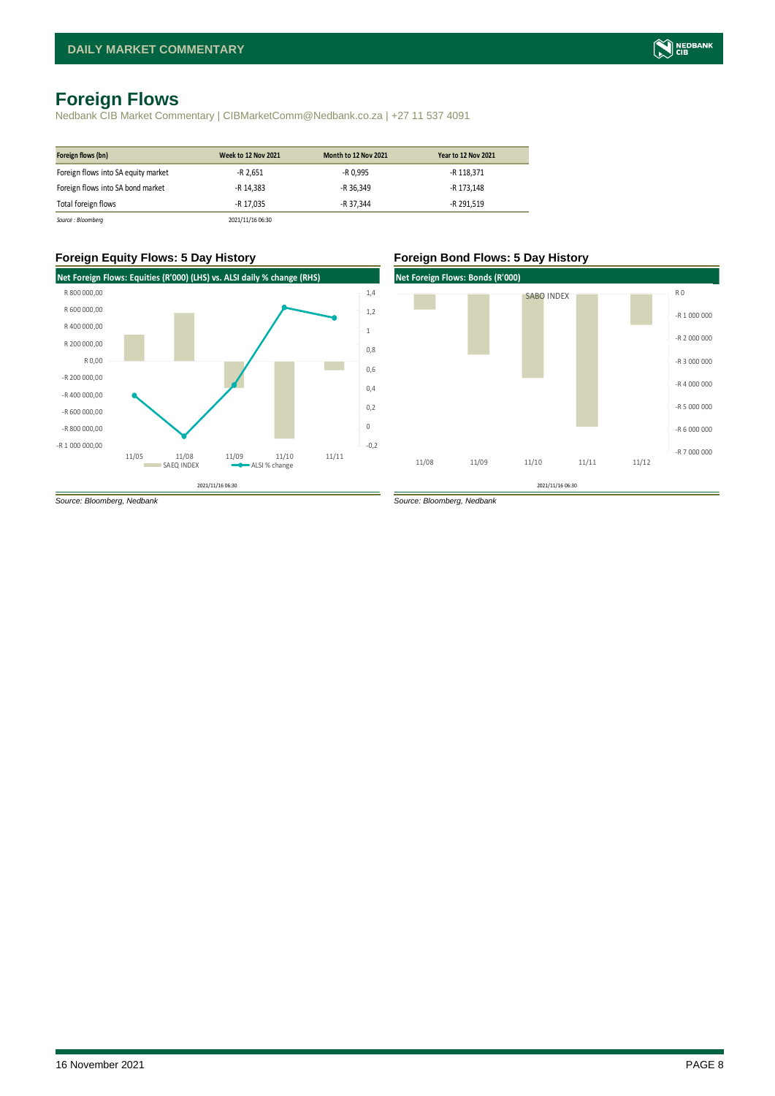## <span id="page-7-0"></span>**Foreign Flows**

Nedbank CIB Market Commentary | CIBMarketComm@Nedbank.co.za | +27 11 537 4091

| Foreign flows (bn)                  | <b>Week to 12 Nov 2021</b> | <b>Month to 12 Nov 2021</b> | <b>Year to 12 Nov 2021</b> |
|-------------------------------------|----------------------------|-----------------------------|----------------------------|
| Foreign flows into SA equity market | $-R$ 2,651                 | -R 0.995                    | -R 118,371                 |
| Foreign flows into SA bond market   | -R 14.383                  | -R 36.349                   | -R 173.148                 |
| Total foreign flows                 | -R 17.035                  | -R 37.344                   | -R 291.519                 |
| Source: Bloomberg                   | 2021/11/16 06:30           |                             |                            |

#### **Foreign Equity Flows: 5 Day History Foreign Bond Flows: 5 Day History**



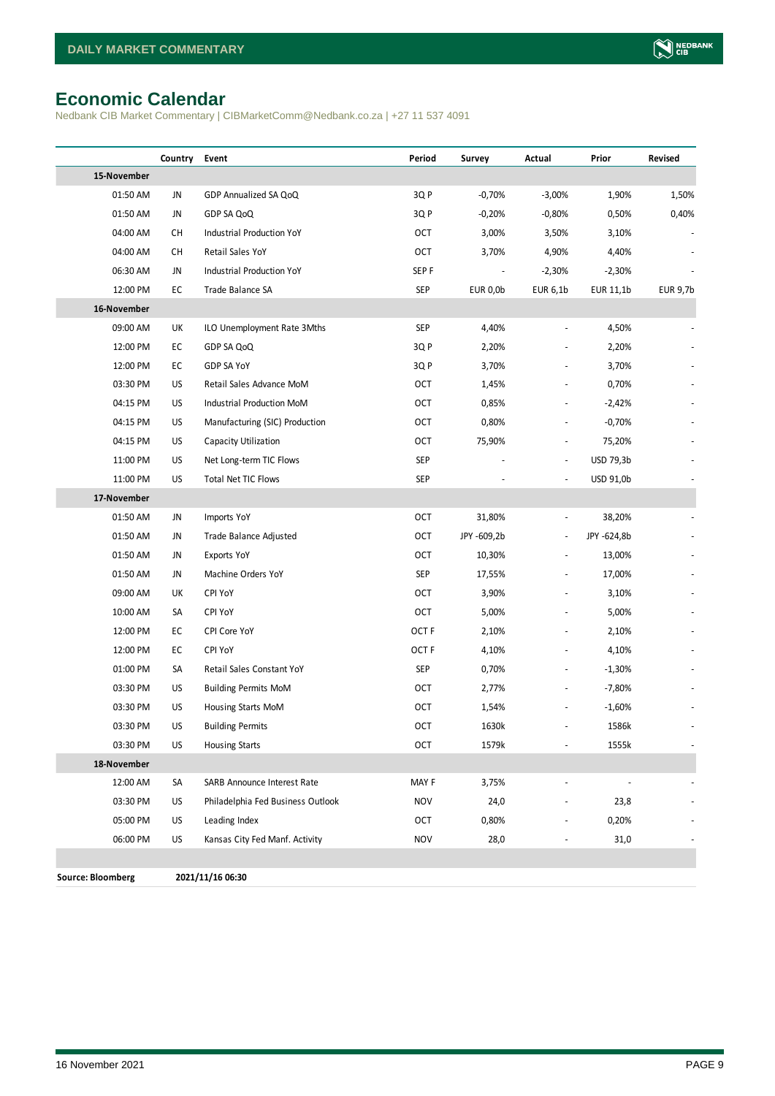## <span id="page-8-0"></span>**Economic Calendar**

Nedbank CIB Market Commentary | CIBMarketComm@Nedbank.co.za | +27 11 537 4091

|                          | Country | Event                             | Period           | Survey      | Actual                   | Prior       | Revised  |
|--------------------------|---------|-----------------------------------|------------------|-------------|--------------------------|-------------|----------|
| 15-November              |         |                                   |                  |             |                          |             |          |
| 01:50 AM                 | JN      | GDP Annualized SA QoQ             | 3QP              | $-0,70%$    | $-3,00%$                 | 1,90%       | 1,50%    |
| 01:50 AM                 | JN      | GDP SA QoQ                        | 3QP              | $-0,20%$    | $-0,80%$                 | 0,50%       | 0,40%    |
| 04:00 AM                 | CН      | Industrial Production YoY         | OCT              | 3,00%       | 3,50%                    | 3,10%       |          |
| 04:00 AM                 | CH      | Retail Sales YoY                  | OCT              | 3,70%       | 4,90%                    | 4,40%       |          |
| 06:30 AM                 | JN      | Industrial Production YoY         | SEP <sub>F</sub> |             | $-2,30%$                 | $-2,30%$    |          |
| 12:00 PM                 | EC      | Trade Balance SA                  | <b>SEP</b>       | EUR 0,0b    | EUR 6,1b                 | EUR 11,1b   | EUR 9,7b |
| 16-November              |         |                                   |                  |             |                          |             |          |
| 09:00 AM                 | UK      | ILO Unemployment Rate 3Mths       | <b>SEP</b>       | 4,40%       | $\frac{1}{2}$            | 4,50%       |          |
| 12:00 PM                 | EC      | GDP SA QoQ                        | 3Q P             | 2,20%       |                          | 2,20%       |          |
| 12:00 PM                 | EC      | GDP SA YoY                        | 3QP              | 3,70%       |                          | 3,70%       |          |
| 03:30 PM                 | US      | Retail Sales Advance MoM          | OCT              | 1,45%       |                          | 0,70%       |          |
| 04:15 PM                 | US      | Industrial Production MoM         | OCT              | 0,85%       |                          | $-2,42%$    |          |
| 04:15 PM                 | US      | Manufacturing (SIC) Production    | OCT              | 0,80%       |                          | $-0,70%$    |          |
| 04:15 PM                 | US      | Capacity Utilization              | OCT              | 75,90%      |                          | 75,20%      |          |
| 11:00 PM                 | US      | Net Long-term TIC Flows           | <b>SEP</b>       |             | $\frac{1}{2}$            | USD 79,3b   |          |
| 11:00 PM                 | US      | <b>Total Net TIC Flows</b>        | <b>SEP</b>       |             | $\blacksquare$           | USD 91,0b   |          |
| 17-November              |         |                                   |                  |             |                          |             |          |
| 01:50 AM                 | JN      | Imports YoY                       | OCT              | 31,80%      | $\overline{\phantom{a}}$ | 38,20%      |          |
| 01:50 AM                 | JN      | Trade Balance Adjusted            | OCT              | JPY -609,2b | $\overline{\phantom{a}}$ | JPY -624,8b |          |
| 01:50 AM                 | JN      | Exports YoY                       | OCT              | 10,30%      | $\frac{1}{2}$            | 13,00%      |          |
| 01:50 AM                 | JN      | Machine Orders YoY                | <b>SEP</b>       | 17,55%      |                          | 17,00%      |          |
| 09:00 AM                 | UK      | CPI YoY                           | OCT              | 3,90%       |                          | 3,10%       |          |
| 10:00 AM                 | SA      | CPI YoY                           | OCT              | 5,00%       | $\overline{\phantom{a}}$ | 5,00%       |          |
| 12:00 PM                 | EC      | CPI Core YoY                      | OCT <sub>F</sub> | 2,10%       |                          | 2,10%       |          |
| 12:00 PM                 | EC      | CPI YoY                           | OCT <sub>F</sub> | 4,10%       |                          | 4,10%       |          |
| 01:00 PM                 | SA      | Retail Sales Constant YoY         | <b>SEP</b>       | 0,70%       |                          | $-1,30%$    |          |
| 03:30 PM                 | US      | <b>Building Permits MoM</b>       | OCT              | 2,77%       |                          | $-7,80%$    |          |
| 03:30 PM                 | US      | Housing Starts MoM                | <b>OCT</b>       | 1,54%       |                          | $-1,60%$    |          |
| 03:30 PM                 | US      | <b>Building Permits</b>           | OCT              | 1630k       |                          | 1586k       |          |
| 03:30 PM                 | US      | <b>Housing Starts</b>             | <b>OCT</b>       | 1579k       |                          | 1555k       |          |
| 18-November              |         |                                   |                  |             |                          |             |          |
| 12:00 AM                 | SA      | SARB Announce Interest Rate       | MAY F            | 3,75%       |                          |             |          |
| 03:30 PM                 | US      | Philadelphia Fed Business Outlook | <b>NOV</b>       | 24,0        |                          | 23,8        |          |
| 05:00 PM                 | US      | Leading Index                     | OCT              | 0,80%       |                          | 0,20%       |          |
| 06:00 PM                 | US      | Kansas City Fed Manf. Activity    | <b>NOV</b>       | 28,0        |                          | 31,0        |          |
|                          |         |                                   |                  |             |                          |             |          |
| <b>Source: Bloomberg</b> |         | 2021/11/16 06:30                  |                  |             |                          |             |          |